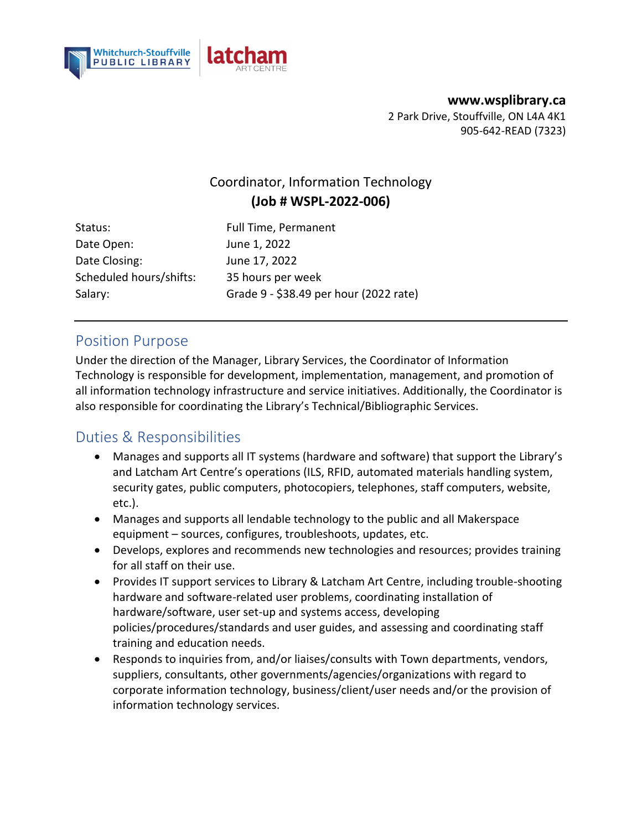



**www.wsplibrary.ca**  2 Park Drive, Stouffville, ON L4A 4K1 905-642-READ (7323)

### Coordinator, Information Technology **(Job # WSPL-2022-006)**

Status: Full Time, Permanent Date Open: June 1, 2022 Date Closing: June 17, 2022 Scheduled hours/shifts: 35 hours per week Salary: Grade 9 - \$38.49 per hour (2022 rate)

#### Position Purpose

Under the direction of the Manager, Library Services, the Coordinator of Information Technology is responsible for development, implementation, management, and promotion of all information technology infrastructure and service initiatives. Additionally, the Coordinator is also responsible for coordinating the Library's Technical/Bibliographic Services.

# Duties & Responsibilities

- Manages and supports all IT systems (hardware and software) that support the Library's and Latcham Art Centre's operations (ILS, RFID, automated materials handling system, security gates, public computers, photocopiers, telephones, staff computers, website, etc.).
- Manages and supports all lendable technology to the public and all Makerspace equipment – sources, configures, troubleshoots, updates, etc.
- Develops, explores and recommends new technologies and resources; provides training for all staff on their use.
- Provides IT support services to Library & Latcham Art Centre, including trouble-shooting hardware and software-related user problems, coordinating installation of hardware/software, user set-up and systems access, developing policies/procedures/standards and user guides, and assessing and coordinating staff training and education needs.
- Responds to inquiries from, and/or liaises/consults with Town departments, vendors, suppliers, consultants, other governments/agencies/organizations with regard to corporate information technology, business/client/user needs and/or the provision of information technology services.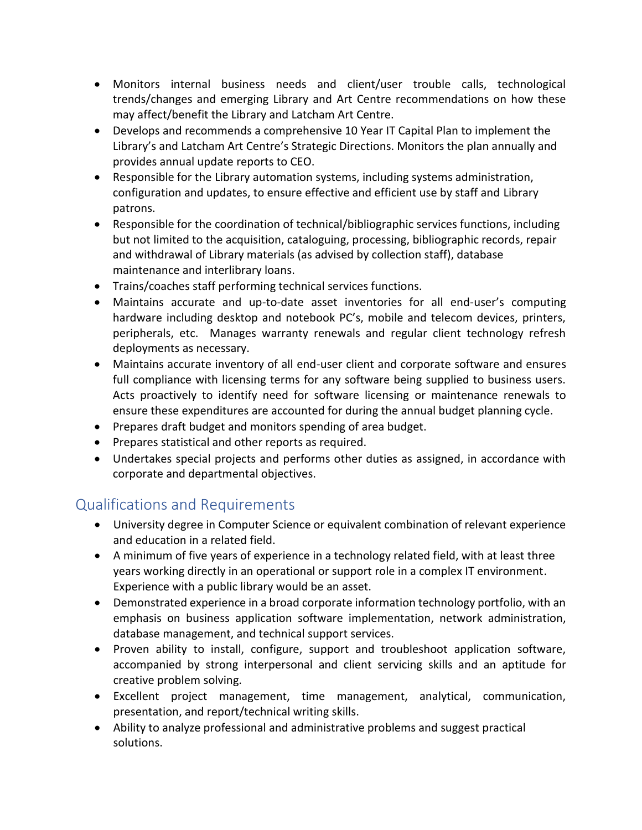- Monitors internal business needs and client/user trouble calls, technological trends/changes and emerging Library and Art Centre recommendations on how these may affect/benefit the Library and Latcham Art Centre.
- Develops and recommends a comprehensive 10 Year IT Capital Plan to implement the Library's and Latcham Art Centre's Strategic Directions. Monitors the plan annually and provides annual update reports to CEO.
- Responsible for the Library automation systems, including systems administration, configuration and updates, to ensure effective and efficient use by staff and Library patrons.
- Responsible for the coordination of technical/bibliographic services functions, including but not limited to the acquisition, cataloguing, processing, bibliographic records, repair and withdrawal of Library materials (as advised by collection staff), database maintenance and interlibrary loans.
- Trains/coaches staff performing technical services functions.
- Maintains accurate and up-to-date asset inventories for all end-user's computing hardware including desktop and notebook PC's, mobile and telecom devices, printers, peripherals, etc. Manages warranty renewals and regular client technology refresh deployments as necessary.
- Maintains accurate inventory of all end-user client and corporate software and ensures full compliance with licensing terms for any software being supplied to business users. Acts proactively to identify need for software licensing or maintenance renewals to ensure these expenditures are accounted for during the annual budget planning cycle.
- Prepares draft budget and monitors spending of area budget.
- Prepares statistical and other reports as required.
- Undertakes special projects and performs other duties as assigned, in accordance with corporate and departmental objectives.

# Qualifications and Requirements

- University degree in Computer Science or equivalent combination of relevant experience and education in a related field.
- A minimum of five years of experience in a technology related field, with at least three years working directly in an operational or support role in a complex IT environment. Experience with a public library would be an asset.
- Demonstrated experience in a broad corporate information technology portfolio, with an emphasis on business application software implementation, network administration, database management, and technical support services.
- Proven ability to install, configure, support and troubleshoot application software, accompanied by strong interpersonal and client servicing skills and an aptitude for creative problem solving.
- Excellent project management, time management, analytical, communication, presentation, and report/technical writing skills.
- Ability to analyze professional and administrative problems and suggest practical solutions.